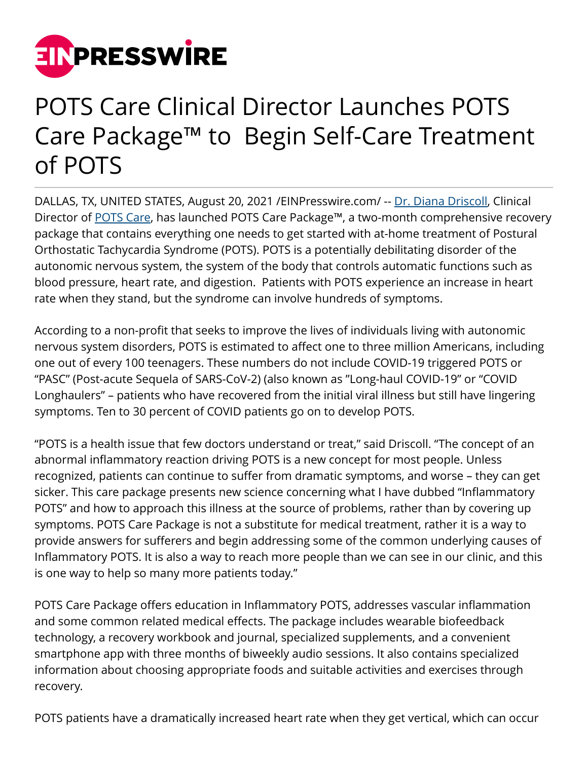

## POTS Care Clinical Director Launches POTS Care Package™ to Begin Self-Care Treatment of POTS

DALLAS, TX, UNITED STATES, August 20, 2021 [/EINPresswire.com](http://www.einpresswire.com)/ -- [Dr. Diana Driscoll,](https://drdianadriscoll.com) Clinical Director of [POTS Care,](https://potscare.com) has launched POTS Care Package™, a two-month comprehensive recovery package that contains everything one needs to get started with at-home treatment of Postural Orthostatic Tachycardia Syndrome (POTS). POTS is a potentially debilitating disorder of the autonomic nervous system, the system of the body that controls automatic functions such as blood pressure, heart rate, and digestion. Patients with POTS experience an increase in heart rate when they stand, but the syndrome can involve hundreds of symptoms.

According to a non-profit that seeks to improve the lives of individuals living with autonomic nervous system disorders, POTS is estimated to affect one to three million Americans, including one out of every 100 teenagers. These numbers do not include COVID-19 triggered POTS or "PASC" (Post-acute Sequela of SARS-CoV-2) (also known as "Long-haul COVID-19" or "COVID Longhaulers" – patients who have recovered from the initial viral illness but still have lingering symptoms. Ten to 30 percent of COVID patients go on to develop POTS.

"POTS is a health issue that few doctors understand or treat," said Driscoll. "The concept of an abnormal inflammatory reaction driving POTS is a new concept for most people. Unless recognized, patients can continue to suffer from dramatic symptoms, and worse – they can get sicker. This care package presents new science concerning what I have dubbed "Inflammatory POTS" and how to approach this illness at the source of problems, rather than by covering up symptoms. POTS Care Package is not a substitute for medical treatment, rather it is a way to provide answers for sufferers and begin addressing some of the common underlying causes of Inflammatory POTS. It is also a way to reach more people than we can see in our clinic, and this is one way to help so many more patients today."

POTS Care Package offers education in Inflammatory POTS, addresses vascular inflammation and some common related medical effects. The package includes wearable biofeedback technology, a recovery workbook and journal, specialized supplements, and a convenient smartphone app with three months of biweekly audio sessions. It also contains specialized information about choosing appropriate foods and suitable activities and exercises through recovery.

POTS patients have a dramatically increased heart rate when they get vertical, which can occur